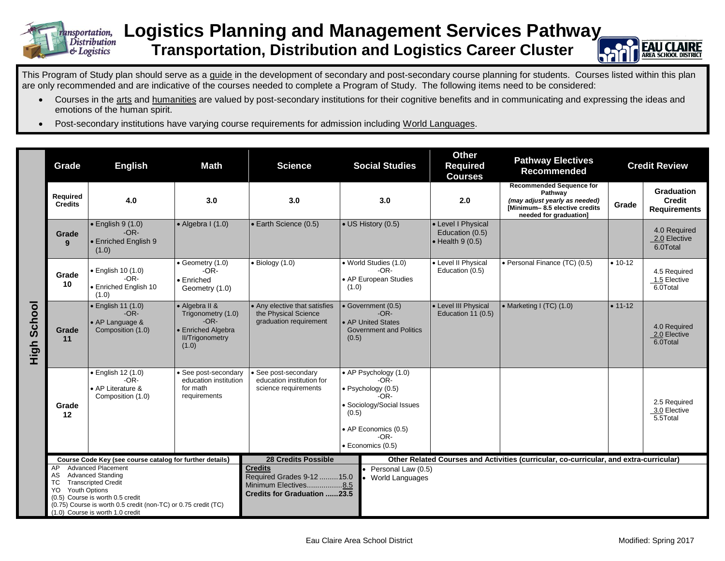

## **Logistics Planning and Management Services Pathway Transportation, Distribution and Logistics Career Cluster**



This Program of Study plan should serve as a guide in the development of secondary and post-secondary course planning for students. Courses listed within this plan are only recommended and are indicative of the courses needed to complete a Program of Study. The following items need to be considered:

- Courses in the arts and humanities are valued by post-secondary institutions for their cognitive benefits and in communicating and expressing the ideas and emotions of the human spirit.
- Post-secondary institutions have varying course requirements for admission including World Languages.

|                | Grade                                   | <b>English</b>                                                                                                                                                                                                                | Math                                                                                                    | <b>Science</b>                                                                                             |                                                                                               | <b>Social Studies</b>                                                                                                                               | <b>Other</b><br><b>Required</b><br><b>Courses</b>                 | <b>Pathway Electives</b><br><b>Recommended</b>                                                                                                |                                          | <b>Credit Review</b>                               |
|----------------|-----------------------------------------|-------------------------------------------------------------------------------------------------------------------------------------------------------------------------------------------------------------------------------|---------------------------------------------------------------------------------------------------------|------------------------------------------------------------------------------------------------------------|-----------------------------------------------------------------------------------------------|-----------------------------------------------------------------------------------------------------------------------------------------------------|-------------------------------------------------------------------|-----------------------------------------------------------------------------------------------------------------------------------------------|------------------------------------------|----------------------------------------------------|
|                | Required<br><b>Credits</b>              | 4.0                                                                                                                                                                                                                           | 3.0                                                                                                     | 3.0                                                                                                        |                                                                                               | 3.0                                                                                                                                                 | 2.0                                                               | <b>Recommended Sequence for</b><br>Pathway<br>(may adjust yearly as needed)<br><b>IMinimum-8.5 elective credits</b><br>needed for graduation] | Grade                                    | Graduation<br><b>Credit</b><br><b>Requirements</b> |
|                | Grade<br>9                              | $\bullet$ English 9 (1.0)<br>$-OR-$<br>• Enriched English 9<br>(1.0)                                                                                                                                                          | $\bullet$ Algebra I (1.0)                                                                               | • Earth Science (0.5)                                                                                      | • US History (0.5)                                                                            |                                                                                                                                                     | • Level I Physical<br>Education (0.5)<br>$\bullet$ Health 9 (0.5) |                                                                                                                                               |                                          | 4.0 Required<br>2.0 Elective<br>6.0Total           |
|                | Grade<br>10                             | · English 10 (1.0)<br>$-OR-$<br>• Enriched English 10<br>(1.0)                                                                                                                                                                | • Geometry (1.0)<br>$-OR-$<br>• Enriched<br>Geometry (1.0)                                              | $\bullet$ Biology (1.0)                                                                                    | • World Studies (1.0)<br>$-OR-$<br>• AP European Studies<br>(1.0)                             |                                                                                                                                                     | • Level II Physical<br>Education (0.5)                            | • Personal Finance (TC) (0.5)                                                                                                                 | $• 10-12$                                | 4.5 Required<br>1.5 Elective<br>6.0Total           |
| School<br>High | Grade<br>11                             | $\bullet$ English 11 (1.0)<br>$-OR-$<br>• AP Language &<br>Composition (1.0)                                                                                                                                                  | • Algebra II &<br>Trigonometry (1.0)<br>$-OR-$<br>• Enriched Algebra<br><b>II/Trigonometry</b><br>(1.0) | • Any elective that satisfies<br>the Physical Science<br>graduation requirement                            | • Government (0.5)<br>$-OR-$<br>• AP United States<br><b>Government and Politics</b><br>(0.5) |                                                                                                                                                     | • Level III Physical<br>Education 11 (0.5)                        | • Marketing I $(TC)$ $(1.0)$                                                                                                                  | $• 11-12$                                | 4.0 Required<br>2.0 Elective<br>6.0Total           |
|                | Grade<br>12                             | · English 12 (1.0)<br>$-OR-$<br>• AP Literature &<br>Composition (1.0)                                                                                                                                                        | · See post-secondary<br>education institution<br>for math<br>requirements                               | · See post-secondary<br>education institution for<br>science requirements                                  | (0.5)                                                                                         | • AP Psychology (1.0)<br>$-OR-$<br>· Psychology (0.5)<br>$-OR-$<br>· Sociology/Social Issues<br>• AP Economics (0.5)<br>$-OR-$<br>· Economics (0.5) |                                                                   |                                                                                                                                               | 2.5 Required<br>3.0 Elective<br>5.5Total |                                                    |
|                |                                         | Course Code Key (see course catalog for further details)                                                                                                                                                                      |                                                                                                         | <b>28 Credits Possible</b>                                                                                 |                                                                                               |                                                                                                                                                     |                                                                   | Other Related Courses and Activities (curricular, co-curricular, and extra-curricular)                                                        |                                          |                                                    |
|                | AP.<br>AS<br>ТC<br>Youth Options<br>YO. | <b>Advanced Placement</b><br><b>Advanced Standing</b><br><b>Transcripted Credit</b><br>(0.5) Course is worth 0.5 credit<br>(0.75) Course is worth 0.5 credit (non-TC) or 0.75 credit (TC)<br>(1.0) Course is worth 1.0 credit |                                                                                                         | <b>Credits</b><br>Required Grades 9-12  15.0<br>Minimum Electives8.5<br><b>Credits for Graduation 23.5</b> |                                                                                               | Personal Law (0.5)<br>World Languages                                                                                                               |                                                                   |                                                                                                                                               |                                          |                                                    |